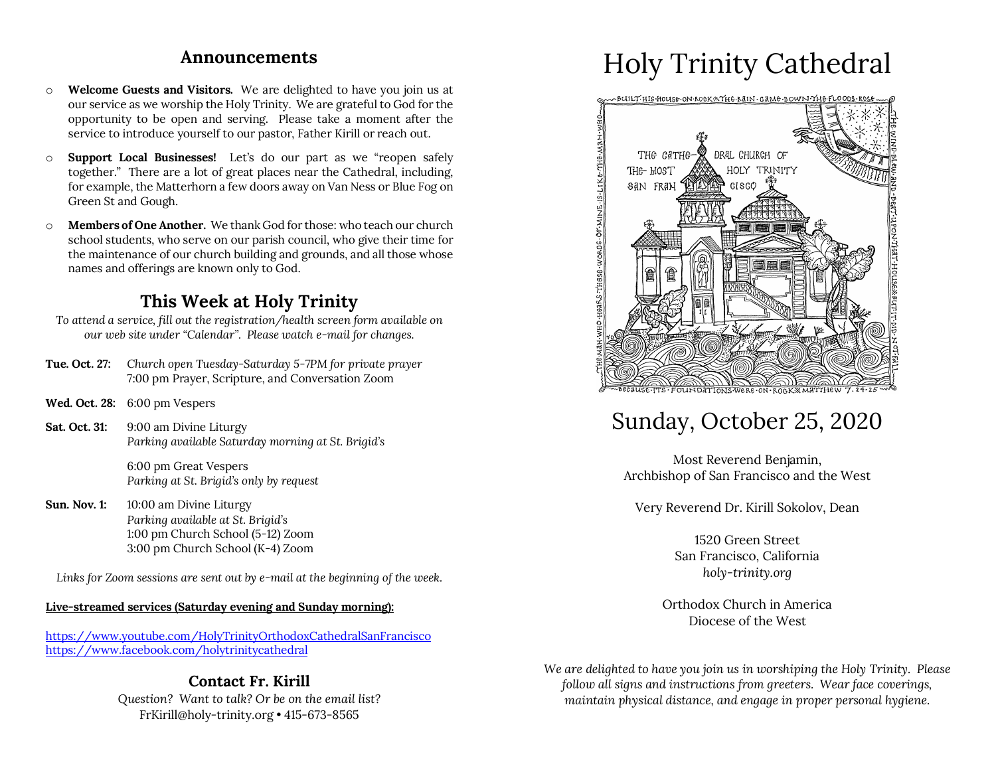### **Announcements**

- o **Welcome Guests and Visitors.** We are delighted to have you join us at our service as we worship the Holy Trinity. We are grateful to God for the opportunity to be open and serving. Please take a moment after the service to introduce yourself to our pastor, Father Kirill or reach out.
- o **Support Local Businesses!** Let's do our part as we "reopen safely together." There are a lot of great places near the Cathedral, including, for example, the Matterhorn a few doors away on Van Ness or Blue Fog on Green St and Gough.
- o **Members of One Another.** We thank God for those: who teach our church school students, who serve on our parish council, who give their time for the maintenance of our church building and grounds, and all those whose names and offerings are known only to God.

### **This Week at Holy Trinity**

- *To attend a service, fill out the registration/health screen form available on our web site under "Calendar". Please watch e-mail for changes.*
- **Tue. Oct. 27:** *Church open Tuesday-Saturday 5-7PM for private prayer* 7:00 pm Prayer, Scripture, and Conversation Zoom
- **Wed. Oct. 28:** 6:00 pm Vespers
- **Sat. Oct. 31:** 9:00 am Divine Liturgy *Parking available Saturday morning at St. Brigid's*

6:00 pm Great Vespers *Parking at St. Brigid's only by request*

**Sun. Nov. 1:** 10:00 am Divine Liturgy *Parking available at St. Brigid's* 1:00 pm Church School (5-12) Zoom 3:00 pm Church School (K-4) Zoom

*Links for Zoom sessions are sent out by e-mail at the beginning of the week.*

#### **Live-streamed services (Saturday evening and Sunday morning):**

https://www.youtube.com/HolyTrinityOrthodoxCathedralSanFrancisco https://www.facebook.com/holytrinitycathedral

### **Contact Fr. Kirill** *Question? Want to talk? Or be on the email list?* FrKirill@holy-trinity.org • 415-673-8565

# Holy Trinity Cathedral



## Sunday, October 25, 2020

Most Reverend Benjamin, Archbishop of San Francisco and the West

Very Reverend Dr. Kirill Sokolov, Dean

1520 Green Street San Francisco, California *holy-trinity.org*

Orthodox Church in America Diocese of the West

*We are delighted to have you join us in worshiping the Holy Trinity. Please follow all signs and instructions from greeters. Wear face coverings, maintain physical distance, and engage in proper personal hygiene.*